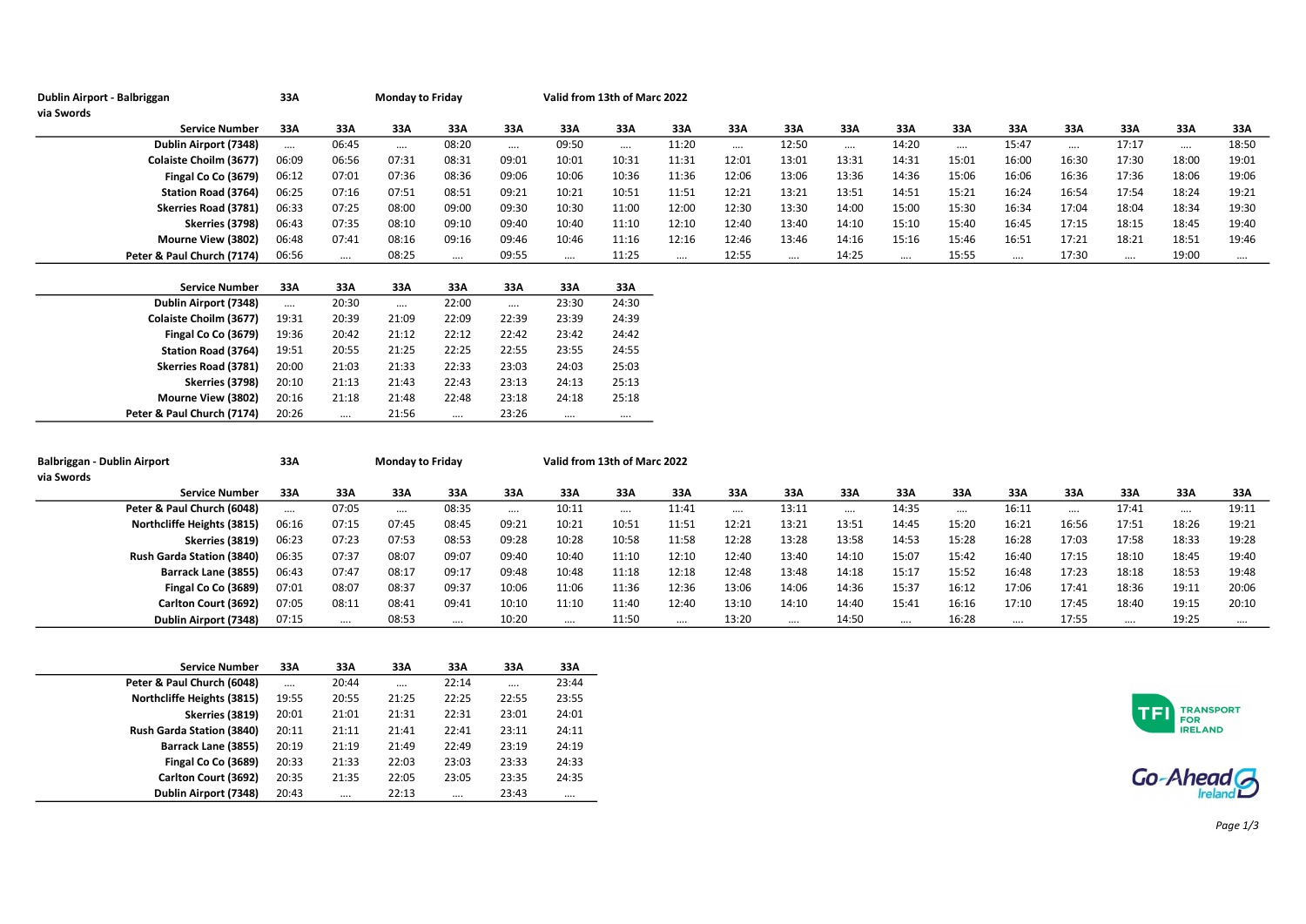| Dublin Airport - Balbriggan      | 33A      |          | <b>Monday to Friday</b> |          |          |                              | Valid from 13th of Marc 2022 |          |          |          |          |          |          |          |          |          |          |          |
|----------------------------------|----------|----------|-------------------------|----------|----------|------------------------------|------------------------------|----------|----------|----------|----------|----------|----------|----------|----------|----------|----------|----------|
| via Swords                       |          |          |                         |          |          |                              |                              |          |          |          |          |          |          |          |          |          |          |          |
| <b>Service Number</b>            | 33A      | 33A      | 33A                     | 33A      | 33A      | 33A                          | 33A                          | 33A      | 33A      | 33A      | 33A      | 33A      | 33A      | 33A      | 33A      | 33A      | 33A      | 33A      |
| Dublin Airport (7348)            | $\cdots$ | 06:45    | $\cdots$                | 08:20    | $\cdots$ | 09:50                        | $\cdots$                     | 11:20    |          | 12:50    |          | 14:20    | $\cdots$ | 15:47    | $\cdots$ | 17:17    | $\cdots$ | 18:50    |
| Colaiste Choilm (3677)           | 06:09    | 06:56    | 07:31                   | 08:31    | 09:01    | 10:01                        | 10:31                        | 11:31    | 12:01    | 13:01    | 13:31    | 14:31    | 15:01    | 16:00    | 16:30    | 17:30    | 18:00    | 19:01    |
| Fingal Co Co (3679)              | 06:12    | 07:01    | 07:36                   | 08:36    | 09:06    | 10:06                        | 10:36                        | 11:36    | 12:06    | 13:06    | 13:36    | 14:36    | 15:06    | 16:06    | 16:36    | 17:36    | 18:06    | 19:06    |
| <b>Station Road (3764)</b>       | 06:25    | 07:16    | 07:51                   | 08:51    | 09:21    | 10:21                        | 10:51                        | 11:51    | 12:21    | 13:21    | 13:51    | 14:51    | 15:21    | 16:24    | 16:54    | 17:54    | 18:24    | 19:21    |
| Skerries Road (3781)             | 06:33    | 07:25    | 08:00                   | 09:00    | 09:30    | 10:30                        | 11:00                        | 12:00    | 12:30    | 13:30    | 14:00    | 15:00    | 15:30    | 16:34    | 17:04    | 18:04    | 18:34    | 19:30    |
| Skerries (3798)                  | 06:43    | 07:35    | 08:10                   | 09:10    | 09:40    | 10:40                        | 11:10                        | 12:10    | 12:40    | 13:40    | 14:10    | 15:10    | 15:40    | 16:45    | 17:15    | 18:15    | 18:45    | 19:40    |
| Mourne View (3802)               | 06:48    | 07:41    | 08:16                   | 09:16    | 09:46    | 10:46                        | 11:16                        | 12:16    | 12:46    | 13:46    | 14:16    | 15:16    | 15:46    | 16:51    | 17:21    | 18:21    | 18:51    | 19:46    |
| Peter & Paul Church (7174)       | 06:56    | $\cdots$ | 08:25                   | $\cdots$ | 09:55    | $\cdots$                     | 11:25                        | $\cdots$ | 12:55    | $\cdots$ | 14:25    | $\cdots$ | 15:55    | $\cdots$ | 17:30    | $\cdots$ | 19:00    | $\cdots$ |
|                                  |          |          |                         |          |          |                              |                              |          |          |          |          |          |          |          |          |          |          |          |
| <b>Service Number</b>            | 33A      | 33A      | 33A                     | 33A      | 33A      | 33A                          | 33A                          |          |          |          |          |          |          |          |          |          |          |          |
| Dublin Airport (7348)            | $\cdots$ | 20:30    | $\cdots$                | 22:00    | $\cdots$ | 23:30                        | 24:30                        |          |          |          |          |          |          |          |          |          |          |          |
| Colaiste Choilm (3677)           | 19:31    | 20:39    | 21:09                   | 22:09    | 22:39    | 23:39                        | 24:39                        |          |          |          |          |          |          |          |          |          |          |          |
| Fingal Co Co (3679)              | 19:36    | 20:42    | 21:12                   | 22:12    | 22:42    | 23:42                        | 24:42                        |          |          |          |          |          |          |          |          |          |          |          |
| <b>Station Road (3764)</b>       | 19:51    | 20:55    | 21:25                   | 22:25    | 22:55    | 23:55                        | 24:55                        |          |          |          |          |          |          |          |          |          |          |          |
| Skerries Road (3781)             | 20:00    | 21:03    | 21:33                   | 22:33    | 23:03    | 24:03                        | 25:03                        |          |          |          |          |          |          |          |          |          |          |          |
| <b>Skerries (3798)</b>           | 20:10    | 21:13    | 21:43                   | 22:43    | 23:13    | 24:13                        | 25:13                        |          |          |          |          |          |          |          |          |          |          |          |
| Mourne View (3802)               | 20:16    | 21:18    | 21:48                   | 22:48    | 23:18    | 24:18                        | 25:18                        |          |          |          |          |          |          |          |          |          |          |          |
| Peter & Paul Church (7174)       | 20:26    | $\cdots$ | 21:56                   | $\cdots$ | 23:26    | $\cdots$                     | $\cdots$                     |          |          |          |          |          |          |          |          |          |          |          |
|                                  |          |          |                         |          |          |                              |                              |          |          |          |          |          |          |          |          |          |          |          |
| Balbriggan - Dublin Airport      | 33A      |          | <b>Monday to Friday</b> |          |          | Valid from 13th of Marc 2022 |                              |          |          |          |          |          |          |          |          |          |          |          |
| via Swords                       |          |          |                         |          |          |                              |                              |          |          |          |          |          |          |          |          |          |          |          |
| <b>Service Number</b>            | 33A      | 33A      | 33A                     | 33A      | 33A      | 33A                          | 33A                          | 33A      | 33A      | 33A      | 33A      | 33A      | 33A      | 33A      | 33A      | 33A      | 33A      | 33A      |
| Peter & Paul Church (6048)       | $\cdots$ | 07:05    | $\cdots$                | 08:35    | $\cdots$ | 10:11                        | $\cdots$                     | 11:41    | $\cdots$ | 13:11    | $\cdots$ | 14:35    | $\cdots$ | 16:11    | $\cdots$ | 17:41    | $\cdots$ | 19:11    |
| Northcliffe Heights (3815)       | 06:16    | 07:15    | 07:45                   | 08:45    | 09:21    | 10:21                        | 10:51                        | 11:51    | 12:21    | 13:21    | 13:51    | 14:45    | 15:20    | 16:21    | 16:56    | 17:51    | 18:26    | 19:21    |
| Skerries (3819)                  | 06:23    | 07:23    | 07:53                   | 08:53    | 09:28    | 10:28                        | 10:58                        | 11:58    | 12:28    | 13:28    | 13:58    | 14:53    | 15:28    | 16:28    | 17:03    | 17:58    | 18:33    | 19:28    |
| <b>Rush Garda Station (3840)</b> | 06:35    | 07:37    | 08:07                   | 09:07    | 09:40    | 10:40                        | 11:10                        | 12:10    | 12:40    | 13:40    | 14:10    | 15:07    | 15:42    | 16:40    | 17:15    | 18:10    | 18:45    | 19:40    |
| Barrack Lane (3855)              | 06:43    | 07:47    | 08:17                   | 09:17    | 09:48    | 10:48                        | 11:18                        | 12:18    | 12:48    | 13:48    | 14:18    | 15:17    | 15:52    | 16:48    | 17:23    | 18:18    | 18:53    | 19:48    |
| Fingal Co Co (3689)              | 07:01    | 08:07    | 08:37                   | 09:37    | 10:06    | 11:06                        | 11:36                        | 12:36    | 13:06    | 14:06    | 14:36    | 15:37    | 16:12    | 17:06    | 17:41    | 18:36    | 19:11    | 20:06    |
| Carlton Court (3692)             | 07:05    | 08:11    | 08:41                   | 09:41    | 10:10    | 11:10                        | 11:40                        | 12:40    | 13:10    | 14:10    | 14:40    | 15:41    | 16:16    | 17:10    | 17:45    | 18:40    | 19:15    | 20:10    |
| Dublin Airport (7348)            | 07:15    | $\cdots$ | 08:53                   | $\cdots$ | 10:20    | $\cdots$                     | 11:50                        | $\cdots$ | 13:20    | $\cdots$ | 14:50    | $\cdots$ | 16:28    | $\cdots$ | 17:55    | $\cdots$ | 19:25    | $\cdots$ |
|                                  |          |          |                         |          |          |                              |                              |          |          |          |          |          |          |          |          |          |          |          |

| <b>Service Number</b>            | 33A   | 33A   | 33A   | 33A   | 33A   | 33A   |
|----------------------------------|-------|-------|-------|-------|-------|-------|
| Peter & Paul Church (6048)       |       | 20:44 |       | 22:14 |       | 23:44 |
| Northcliffe Heights (3815)       | 19:55 | 20:55 | 21:25 | 22:25 | 22:55 | 23:55 |
| <b>Skerries (3819)</b>           | 20:01 | 21:01 | 21:31 | 22:31 | 23:01 | 24:01 |
| <b>Rush Garda Station (3840)</b> | 20:11 | 21:11 | 21:41 | 22:41 | 23:11 | 24:11 |
| Barrack Lane (3855)              | 20:19 | 21:19 | 21:49 | 22:49 | 23:19 | 24:19 |
| Fingal Co Co (3689)              | 20:33 | 21:33 | 22:03 | 23:03 | 23:33 | 24:33 |
| Carlton Court (3692)             | 20:35 | 21:35 | 22:05 | 23:05 | 23:35 | 24:35 |
| Dublin Airport (7348)            | 20:43 |       | 22:13 |       | 23:43 |       |



 $Go-Ahead$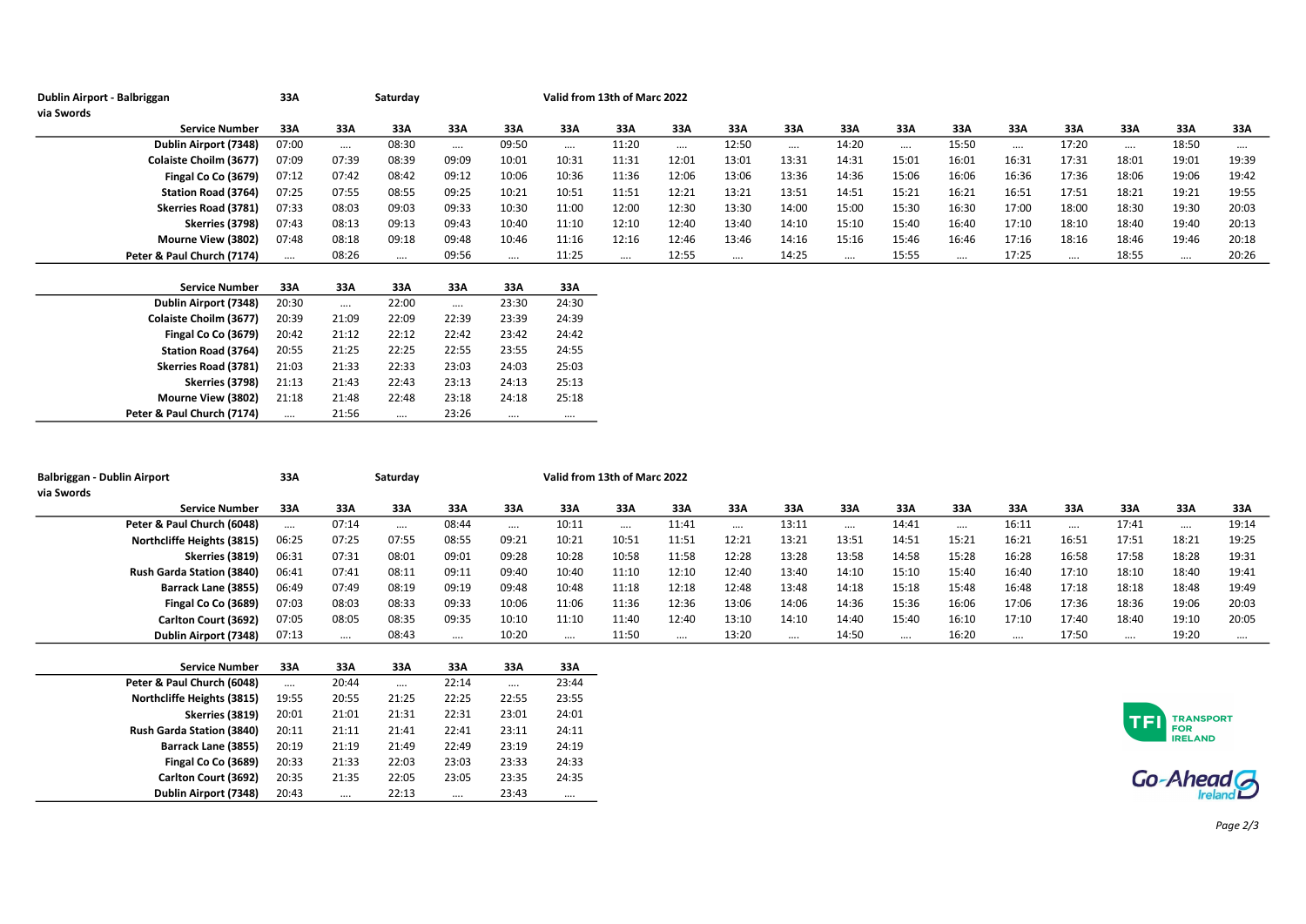| Dublin Airport - Balbriggan | 33A      |          | Saturday |          |          | Valid from 13th of Marc 2022 |       |          |          |          |       |          |          |          |          |          |          |          |
|-----------------------------|----------|----------|----------|----------|----------|------------------------------|-------|----------|----------|----------|-------|----------|----------|----------|----------|----------|----------|----------|
| via Swords                  |          |          |          |          |          |                              |       |          |          |          |       |          |          |          |          |          |          |          |
| <b>Service Number</b>       | 33A      | 33A      | 33A      | 33A      | 33A      | 33A                          | 33A   | 33A      | 33A      | 33A      | 33A   | 33A      | 33A      | 33A      | 33A      | 33A      | 33A      | 33A      |
| Dublin Airport (7348)       | 07:00    | $\cdots$ | 08:30    | $\cdots$ | 09:50    | $\cdots$                     | 11:20 | $\cdots$ | 12:50    | $\cdots$ | 14:20 | $\cdots$ | 15:50    | $\cdots$ | 17:20    | $\cdots$ | 18:50    | $\cdots$ |
| Colaiste Choilm (3677)      | 07:09    | 07:39    | 08:39    | 09:09    | 10:01    | 10:31                        | 11:31 | 12:01    | 13:01    | 13:31    | 14:31 | 15:01    | 16:01    | 16:31    | 17:31    | 18:01    | 19:01    | 19:39    |
| Fingal Co Co (3679)         | 07:12    | 07:42    | 08:42    | 09:12    | 10:06    | 10:36                        | 11:36 | 12:06    | 13:06    | 13:36    | 14:36 | 15:06    | 16:06    | 16:36    | 17:36    | 18:06    | 19:06    | 19:42    |
| <b>Station Road (3764)</b>  | 07:25    | 07:55    | 08:55    | 09:25    | 10:21    | 10:51                        | 11:51 | 12:21    | 13:21    | 13:51    | 14:51 | 15:21    | 16:21    | 16:51    | 17:51    | 18:21    | 19:21    | 19:55    |
| Skerries Road (3781)        | 07:33    | 08:03    | 09:03    | 09:33    | 10:30    | 11:00                        | 12:00 | 12:30    | 13:30    | 14:00    | 15:00 | 15:30    | 16:30    | 17:00    | 18:00    | 18:30    | 19:30    | 20:03    |
| Skerries (3798)             | 07:43    | 08:13    | 09:13    | 09:43    | 10:40    | 11:10                        | 12:10 | 12:40    | 13:40    | 14:10    | 15:10 | 15:40    | 16:40    | 17:10    | 18:10    | 18:40    | 19:40    | 20:13    |
| Mourne View (3802)          | 07:48    | 08:18    | 09:18    | 09:48    | 10:46    | 11:16                        | 12:16 | 12:46    | 13:46    | 14:16    | 15:16 | 15:46    | 16:46    | 17:16    | 18:16    | 18:46    | 19:46    | 20:18    |
| Peter & Paul Church (7174)  | $\cdots$ | 08:26    | $\cdots$ | 09:56    | $\cdots$ | 11:25                        |       | 12:55    | $\cdots$ | 14:25    |       | 15:55    | $\cdots$ | 17:25    | $\cdots$ | 18:55    | $\cdots$ | 20:26    |
|                             |          |          |          |          |          |                              |       |          |          |          |       |          |          |          |          |          |          |          |
| <b>Service Number</b>       | 33A      | 33A      | 33A      | 33A      | 33A      | 33A                          |       |          |          |          |       |          |          |          |          |          |          |          |
| Dublin Airport (7348)       | 20:30    | $\cdots$ | 22:00    | $\cdots$ | 23:30    | 24:30                        |       |          |          |          |       |          |          |          |          |          |          |          |
| Colaiste Choilm (3677)      | 20:39    | 21:09    | 22:09    | 22:39    | 23:39    | 24:39                        |       |          |          |          |       |          |          |          |          |          |          |          |
| Fingal Co Co (3679)         | 20:42    | 21:12    | 22:12    | 22:42    | 23:42    | 24:42                        |       |          |          |          |       |          |          |          |          |          |          |          |
| <b>Station Road (3764)</b>  | 20:55    | 21:25    | 22:25    | 22:55    | 23:55    | 24:55                        |       |          |          |          |       |          |          |          |          |          |          |          |
| Skerries Road (3781)        | 21:03    | 21:33    | 22:33    | 23:03    | 24:03    | 25:03                        |       |          |          |          |       |          |          |          |          |          |          |          |
| Skerries (3798)             | 21:13    | 21:43    | 22:43    | 23:13    | 24:13    | 25:13                        |       |          |          |          |       |          |          |          |          |          |          |          |
| Mourne View (3802)          | 21:18    | 21:48    | 22:48    | 23:18    | 24:18    | 25:18                        |       |          |          |          |       |          |          |          |          |          |          |          |

Peter & Paul Church (7174) …. 21:56 …. 23:26 …. ….

| Balbriggan - Dublin Airport      | 33A      |          | Saturday |          |          | Valid from 13th of Marc 2022 |          |          |          |          |          |          |          |          |       |            |                              |          |
|----------------------------------|----------|----------|----------|----------|----------|------------------------------|----------|----------|----------|----------|----------|----------|----------|----------|-------|------------|------------------------------|----------|
| via Swords                       |          |          |          |          |          |                              |          |          |          |          |          |          |          |          |       |            |                              |          |
| <b>Service Number</b>            | 33A      | 33A      | 33A      | 33A      | 33A      | 33A                          | 33A      | 33A      | 33A      | 33A      | 33A      | 33A      | 33A      | 33A      | 33A   | 33A        | 33A                          | 33A      |
| Peter & Paul Church (6048)       | $\cdots$ | 07:14    | $\cdots$ | 08:44    | $\cdots$ | 10:11                        | $\cdots$ | 11:41    | $\cdots$ | 13:11    | $\cdots$ | 14:41    | $\cdots$ | 16:11    |       | 17:41      | $\cdots$                     | 19:14    |
| Northcliffe Heights (3815)       | 06:25    | 07:25    | 07:55    | 08:55    | 09:21    | 10:21                        | 10:51    | 11:51    | 12:21    | 13:21    | 13:51    | 14:51    | 15:21    | 16:21    | 16:51 | 17:51      | 18:21                        | 19:25    |
| Skerries (3819)                  | 06:31    | 07:31    | 08:01    | 09:01    | 09:28    | 10:28                        | 10:58    | 11:58    | 12:28    | 13:28    | 13:58    | 14:58    | 15:28    | 16:28    | 16:58 | 17:58      | 18:28                        | 19:31    |
| <b>Rush Garda Station (3840)</b> | 06:41    | 07:41    | 08:11    | 09:11    | 09:40    | 10:40                        | 11:10    | 12:10    | 12:40    | 13:40    | 14:10    | 15:10    | 15:40    | 16:40    | 17:10 | 18:10      | 18:40                        | 19:41    |
| Barrack Lane (3855)              | 06:49    | 07:49    | 08:19    | 09:19    | 09:48    | 10:48                        | 11:18    | 12:18    | 12:48    | 13:48    | 14:18    | 15:18    | 15:48    | 16:48    | 17:18 | 18:18      | 18:48                        | 19:49    |
| Fingal Co Co (3689)              | 07:03    | 08:03    | 08:33    | 09:33    | 10:06    | 11:06                        | 11:36    | 12:36    | 13:06    | 14:06    | 14:36    | 15:36    | 16:06    | 17:06    | 17:36 | 18:36      | 19:06                        | 20:03    |
| Carlton Court (3692)             | 07:05    | 08:05    | 08:35    | 09:35    | 10:10    | 11:10                        | 11:40    | 12:40    | 13:10    | 14:10    | 14:40    | 15:40    | 16:10    | 17:10    | 17:40 | 18:40      | 19:10                        | 20:05    |
| Dublin Airport (7348)            | 07:13    | $\cdots$ | 08:43    | $\cdots$ | 10:20    | $\cdots$                     | 11:50    | $\cdots$ | 13:20    | $\cdots$ | 14:50    | $\cdots$ | 16:20    | $\cdots$ | 17:50 | $\cdots$   | 19:20                        | $\cdots$ |
|                                  |          |          |          |          |          |                              |          |          |          |          |          |          |          |          |       |            |                              |          |
| <b>Service Number</b>            | 33A      | 33A      | 33A      | 33A      | 33A      | 33A                          |          |          |          |          |          |          |          |          |       |            |                              |          |
| Peter & Paul Church (6048)       | $\cdots$ | 20:44    | $\cdots$ | 22:14    | $\cdots$ | 23:44                        |          |          |          |          |          |          |          |          |       |            |                              |          |
| Northcliffe Heights (3815)       | 19:55    | 20:55    | 21:25    | 22:25    | 22:55    | 23:55                        |          |          |          |          |          |          |          |          |       |            |                              |          |
| Skerries (3819)                  | 20:01    | 21:01    | 21:31    | 22:31    | 23:01    | 24:01                        |          |          |          |          |          |          |          |          |       | <b>TFI</b> | TRANSPORT                    |          |
| <b>Rush Garda Station (3840)</b> | 20:11    | 21:11    | 21:41    | 22:41    | 23:11    | 24:11                        |          |          |          |          |          |          |          |          |       |            | <b>FOR</b><br><b>IRELAND</b> |          |
| Barrack Lane (3855)              | 20:19    | 21:19    | 21:49    | 22:49    | 23:19    | 24:19                        |          |          |          |          |          |          |          |          |       |            |                              |          |
| Fingal Co Co (3689)              | 20:33    | 21:33    | 22:03    | 23:03    | 23:33    | 24:33                        |          |          |          |          |          |          |          |          |       |            |                              |          |
| Carlton Court (3692)             | 20:35    | 21:35    | 22:05    | 23:05    | 23:35    | 24:35                        |          |          |          |          |          |          |          |          |       |            | $Go$ -Ahead                  |          |
| Dublin Airport (7348)            | 20:43    | $\cdots$ | 22:13    |          | 23:43    | $\cdots$                     |          |          |          |          |          |          |          |          |       |            |                              |          |